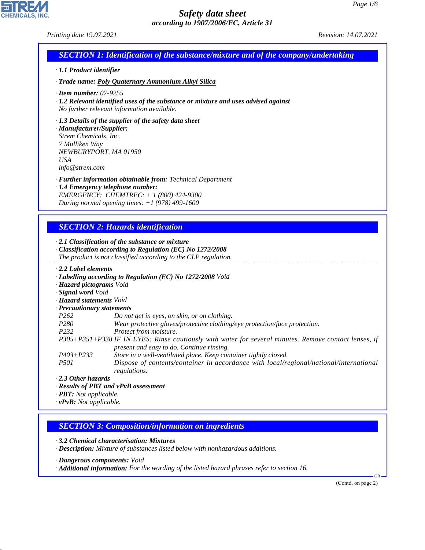CHEMICALS, INC.

44.1.1

|                                                                                                                              | Printing date 19.07.2021                                                                                                                                                                        | Revision: 14.07.2021 |
|------------------------------------------------------------------------------------------------------------------------------|-------------------------------------------------------------------------------------------------------------------------------------------------------------------------------------------------|----------------------|
|                                                                                                                              | <b>SECTION 1: Identification of the substance/mixture and of the company/undertaking</b>                                                                                                        |                      |
| · 1.1 Product identifier                                                                                                     |                                                                                                                                                                                                 |                      |
|                                                                                                                              | · Trade name: Poly Quaternary Ammonium Alkyl Silica                                                                                                                                             |                      |
| $\cdot$ Item number: 07-9255                                                                                                 | · 1.2 Relevant identified uses of the substance or mixture and uses advised against<br>No further relevant information available.                                                               |                      |
| · Manufacturer/Supplier:<br>Strem Chemicals, Inc.<br>7 Mulliken Way<br>NEWBURYPORT, MA 01950<br><b>USA</b><br>info@strem.com | $\cdot$ 1.3 Details of the supplier of the safety data sheet                                                                                                                                    |                      |
|                                                                                                                              | · Further information obtainable from: Technical Department<br>· 1.4 Emergency telephone number:<br>EMERGENCY: CHEMTREC: + 1 (800) 424-9300<br>During normal opening times: $+1$ (978) 499-1600 |                      |
|                                                                                                                              | <b>SECTION 2: Hazards identification</b>                                                                                                                                                        |                      |
|                                                                                                                              |                                                                                                                                                                                                 |                      |
|                                                                                                                              | $\cdot$ 2.1 Classification of the substance or mixture<br>· Classification according to Regulation (EC) No 1272/2008<br>The product is not classified according to the CLP regulation.          |                      |
| $\cdot$ 2.2 Label elements<br>· Hazard pictograms Void<br>· Signal word Void                                                 | · Labelling according to Regulation (EC) No 1272/2008 Void                                                                                                                                      |                      |
| · Hazard statements Void                                                                                                     |                                                                                                                                                                                                 |                      |
| · Precautionary statements<br>P <sub>262</sub>                                                                               | Do not get in eyes, on skin, or on clothing.                                                                                                                                                    |                      |
| P <sub>280</sub>                                                                                                             | Wear protective gloves/protective clothing/eye protection/face protection.                                                                                                                      |                      |
| P <sub>232</sub>                                                                                                             | Protect from moisture.                                                                                                                                                                          |                      |
|                                                                                                                              | P305+P351+P338 IF IN EYES: Rinse cautiously with water for several minutes. Remove contact lenses, if<br>present and easy to do. Continue rinsing.                                              |                      |
| $P403 + P233$<br><i>P501</i>                                                                                                 | Store in a well-ventilated place. Keep container tightly closed.<br>Dispose of contents/container in accordance with local/regional/national/international                                      |                      |
| $\cdot$ 2.3 Other hazards                                                                                                    | regulations.                                                                                                                                                                                    |                      |
|                                                                                                                              | · Results of PBT and vPvB assessment                                                                                                                                                            |                      |
| · <b>PBT</b> : Not applicable.<br>$\cdot$ vPvB: Not applicable.                                                              |                                                                                                                                                                                                 |                      |
|                                                                                                                              |                                                                                                                                                                                                 |                      |
|                                                                                                                              | <b>SECTION 3: Composition/information on ingredients</b>                                                                                                                                        |                      |
|                                                                                                                              |                                                                                                                                                                                                 |                      |
|                                                                                                                              | 3.2 Chemical characterisation: Mixtures<br>· Description: Mixture of substances listed below with nonhazardous additions.                                                                       |                      |
| · Dangerous components: Void                                                                                                 | · Additional information: For the wording of the listed hazard phrases refer to section 16.                                                                                                     |                      |
|                                                                                                                              |                                                                                                                                                                                                 | (Contd. on page 2)   |
|                                                                                                                              |                                                                                                                                                                                                 |                      |
|                                                                                                                              |                                                                                                                                                                                                 |                      |
|                                                                                                                              |                                                                                                                                                                                                 |                      |
|                                                                                                                              |                                                                                                                                                                                                 |                      |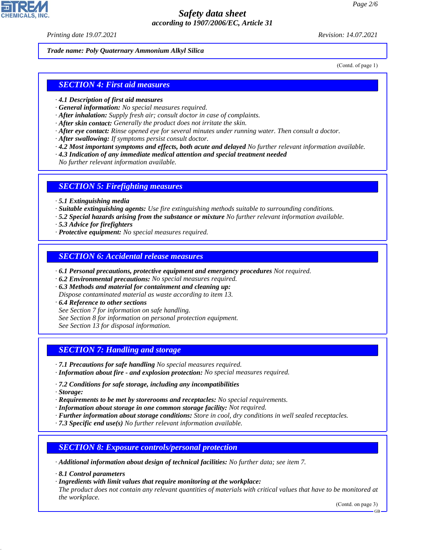*Printing date 19.07.2021 Revision: 14.07.2021*

#### *Trade name: Poly Quaternary Ammonium Alkyl Silica*

(Contd. of page 1)

### *SECTION 4: First aid measures*

- *· 4.1 Description of first aid measures*
- *· General information: No special measures required.*
- *· After inhalation: Supply fresh air; consult doctor in case of complaints.*
- *· After skin contact: Generally the product does not irritate the skin.*
- *· After eye contact: Rinse opened eye for several minutes under running water. Then consult a doctor.*
- *· After swallowing: If symptoms persist consult doctor.*
- *· 4.2 Most important symptoms and effects, both acute and delayed No further relevant information available.*
- *· 4.3 Indication of any immediate medical attention and special treatment needed*
- *No further relevant information available.*

#### *SECTION 5: Firefighting measures*

- *· 5.1 Extinguishing media*
- *· Suitable extinguishing agents: Use fire extinguishing methods suitable to surrounding conditions.*
- *· 5.2 Special hazards arising from the substance or mixture No further relevant information available.*
- *· 5.3 Advice for firefighters*
- *· Protective equipment: No special measures required.*

### *SECTION 6: Accidental release measures*

- *· 6.1 Personal precautions, protective equipment and emergency procedures Not required.*
- *· 6.2 Environmental precautions: No special measures required.*
- *· 6.3 Methods and material for containment and cleaning up:*
- *Dispose contaminated material as waste according to item 13.*
- *· 6.4 Reference to other sections*
- *See Section 7 for information on safe handling.*
- *See Section 8 for information on personal protection equipment.*
- *See Section 13 for disposal information.*

## *SECTION 7: Handling and storage*

- *· 7.1 Precautions for safe handling No special measures required.*
- *· Information about fire and explosion protection: No special measures required.*
- *· 7.2 Conditions for safe storage, including any incompatibilities*
- *· Storage:*

44.1.1

- *· Requirements to be met by storerooms and receptacles: No special requirements.*
- *· Information about storage in one common storage facility: Not required.*
- *· Further information about storage conditions: Store in cool, dry conditions in well sealed receptacles.*
- *· 7.3 Specific end use(s) No further relevant information available.*

## *SECTION 8: Exposure controls/personal protection*

- *· Additional information about design of technical facilities: No further data; see item 7.*
- *· 8.1 Control parameters*
- *· Ingredients with limit values that require monitoring at the workplace:*

*The product does not contain any relevant quantities of materials with critical values that have to be monitored at the workplace.*

(Contd. on page 3)

GB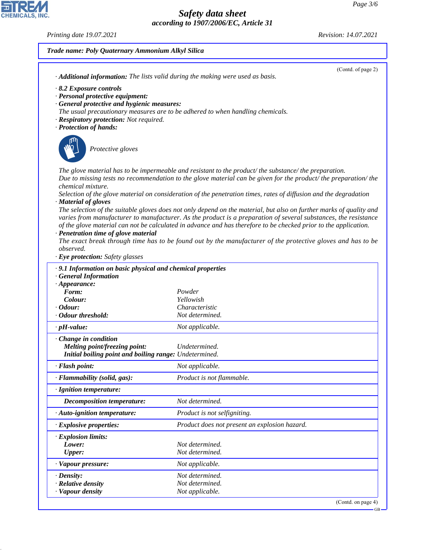*Printing date 19.07.2021 Revision: 14.07.2021*

44.1.1

# *Trade name: Poly Quaternary Ammonium Alkyl Silica* (Contd. of page 2) *· Additional information: The lists valid during the making were used as basis. · 8.2 Exposure controls · Personal protective equipment: · General protective and hygienic measures: The usual precautionary measures are to be adhered to when handling chemicals. · Respiratory protection: Not required. · Protection of hands:* \_S*Protective gloves The glove material has to be impermeable and resistant to the product/ the substance/ the preparation. Due to missing tests no recommendation to the glove material can be given for the product/ the preparation/ the chemical mixture. Selection of the glove material on consideration of the penetration times, rates of diffusion and the degradation · Material of gloves The selection of the suitable gloves does not only depend on the material, but also on further marks of quality and varies from manufacturer to manufacturer. As the product is a preparation of several substances, the resistance of the glove material can not be calculated in advance and has therefore to be checked prior to the application. · Penetration time of glove material The exact break through time has to be found out by the manufacturer of the protective gloves and has to be observed. · Eye protection: Safety glasses · 9.1 Information on basic physical and chemical properties · General Information · Appearance: Form: Powder Colour: Yellowish · Odour: Characteristic · Odour threshold: Not determined. · pH-value: Not applicable. · Change in condition Melting point/freezing point: Undetermined. Initial boiling point and boiling range: Undetermined. · Flash point: Not applicable. · Flammability (solid, gas): Product is not flammable. · Ignition temperature: Decomposition temperature: Not determined. · Auto-ignition temperature: Product is not selfigniting. · Explosive properties: Product does not present an explosion hazard. · Explosion limits: Lower: Not determined. Upper: Not determined. · Vapour pressure: Not applicable. · Density: Not determined. Relative density Not determined. · Vapour density Not applicable.*

(Contd. on page 4)

GB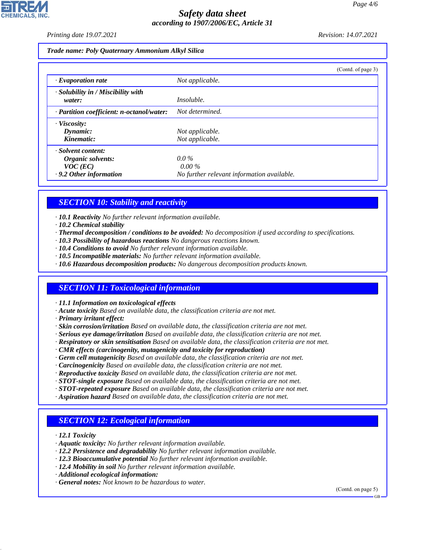*Printing date 19.07.2021 Revision: 14.07.2021*

#### *Trade name: Poly Quaternary Ammonium Alkyl Silica*

|                                                    | (Contd. of page 3)                         |
|----------------------------------------------------|--------------------------------------------|
| $\cdot$ Evaporation rate                           | Not applicable.                            |
| $\cdot$ Solubility in / Miscibility with<br>water: | <i>Insoluble.</i>                          |
| · Partition coefficient: n-octanol/water:          | Not determined.                            |
| $\cdot$ Viscosity:                                 |                                            |
| Dynamic:                                           | Not applicable.                            |
| Kinematic:                                         | Not applicable.                            |
| · Solvent content:                                 |                                            |
| Organic solvents:                                  | $0.0\%$                                    |
| $VOC$ (EC)                                         | $0.00\%$                                   |
| .9.2 Other information                             | No further relevant information available. |

# *SECTION 10: Stability and reactivity*

- *· 10.1 Reactivity No further relevant information available.*
- *· 10.2 Chemical stability*
- *· Thermal decomposition / conditions to be avoided: No decomposition if used according to specifications.*
- *· 10.3 Possibility of hazardous reactions No dangerous reactions known.*
- *· 10.4 Conditions to avoid No further relevant information available.*
- *· 10.5 Incompatible materials: No further relevant information available.*
- *· 10.6 Hazardous decomposition products: No dangerous decomposition products known.*

# *SECTION 11: Toxicological information*

*· 11.1 Information on toxicological effects*

- *· Acute toxicity Based on available data, the classification criteria are not met.*
- *· Primary irritant effect:*
- *· Skin corrosion/irritation Based on available data, the classification criteria are not met.*
- *· Serious eye damage/irritation Based on available data, the classification criteria are not met.*
- *· Respiratory or skin sensitisation Based on available data, the classification criteria are not met.*
- *· CMR effects (carcinogenity, mutagenicity and toxicity for reproduction)*
- *· Germ cell mutagenicity Based on available data, the classification criteria are not met.*
- *· Carcinogenicity Based on available data, the classification criteria are not met.*
- *· Reproductive toxicity Based on available data, the classification criteria are not met.*
- *· STOT-single exposure Based on available data, the classification criteria are not met.*
- *· STOT-repeated exposure Based on available data, the classification criteria are not met.*
- *· Aspiration hazard Based on available data, the classification criteria are not met.*

# *SECTION 12: Ecological information*

*· 12.1 Toxicity*

44.1.1

- *· Aquatic toxicity: No further relevant information available.*
- *· 12.2 Persistence and degradability No further relevant information available.*
- *· 12.3 Bioaccumulative potential No further relevant information available.*
- *· 12.4 Mobility in soil No further relevant information available.*
- *· Additional ecological information:*
- *· General notes: Not known to be hazardous to water.*

(Contd. on page 5)

GB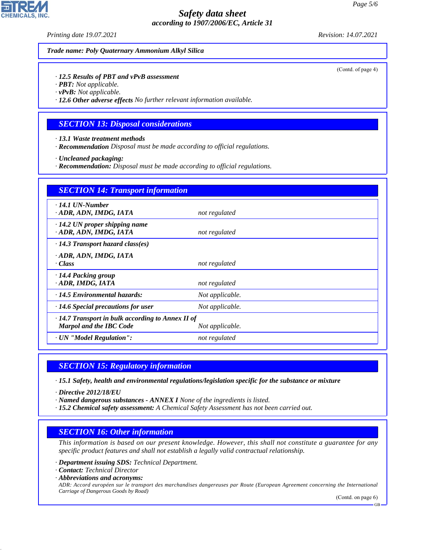*Printing date 19.07.2021 Revision: 14.07.2021*

#### *Trade name: Poly Quaternary Ammonium Alkyl Silica*

*· 12.5 Results of PBT and vPvB assessment*

- *· PBT: Not applicable.*
- *· vPvB: Not applicable.*

*· 12.6 Other adverse effects No further relevant information available.*

## *SECTION 13: Disposal considerations*

*· 13.1 Waste treatment methods*

*· Recommendation Disposal must be made according to official regulations.*

*· Uncleaned packaging:*

*· Recommendation: Disposal must be made according to official regulations.*

| <b>SECTION 14: Transport information</b>                                                  |                 |
|-------------------------------------------------------------------------------------------|-----------------|
| $\cdot$ 14.1 UN-Number<br>· ADR, ADN, IMDG, IATA                                          | not regulated   |
| $\cdot$ 14.2 UN proper shipping name<br>· ADR, ADN, IMDG, IATA                            | not regulated   |
| $\cdot$ 14.3 Transport hazard class(es)                                                   |                 |
| · ADR, ADN, IMDG, IATA<br>· Class                                                         | not regulated   |
| $\cdot$ 14.4 Packing group<br>· ADR, IMDG, IATA                                           | not regulated   |
| $\cdot$ 14.5 Environmental hazards:                                                       | Not applicable. |
| $\cdot$ 14.6 Special precautions for user                                                 | Not applicable. |
| $\cdot$ 14.7 Transport in bulk according to Annex II of<br><b>Marpol and the IBC Code</b> | Not applicable. |
| · UN "Model Regulation":                                                                  | not regulated   |

## *SECTION 15: Regulatory information*

*· 15.1 Safety, health and environmental regulations/legislation specific for the substance or mixture*

*· Directive 2012/18/EU*

- *· Named dangerous substances ANNEX I None of the ingredients is listed.*
- *· 15.2 Chemical safety assessment: A Chemical Safety Assessment has not been carried out.*

## *SECTION 16: Other information*

*This information is based on our present knowledge. However, this shall not constitute a guarantee for any specific product features and shall not establish a legally valid contractual relationship.*

- *· Department issuing SDS: Technical Department.*
- *· Contact: Technical Director*
- *· Abbreviations and acronyms:*

44.1.1

*ADR: Accord européen sur le transport des marchandises dangereuses par Route (European Agreement concerning the International Carriage of Dangerous Goods by Road)*

(Contd. on page 6)

**CHEMICALS.** 

(Contd. of page 4)